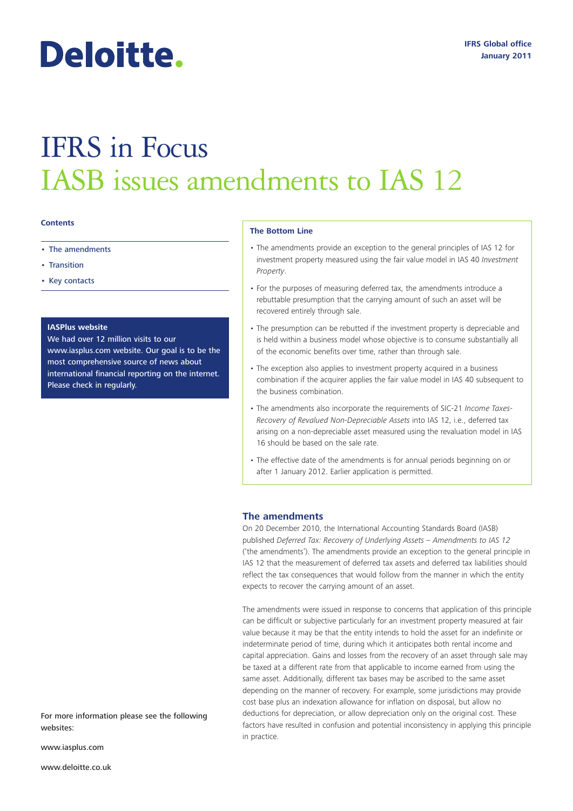# Deloitte.

## IFRS in Focus IASB issues amendments to IAS 12

#### **Contents**

- The amendments
- Transition
- Key contacts

#### **IASPlus website**

We had over 12 million visits to our www.iasplus.com website. Our goal is to be the most comprehensive source of news about international financial reporting on the internet. Please check in regularly.

#### **The Bottom Line**

- The amendments provide an exception to the general principles of IAS 12 for investment property measured using the fair value model in IAS 40 *Investment Property*.
- For the purposes of measuring deferred tax, the amendments introduce a rebuttable presumption that the carrying amount of such an asset will be recovered entirely through sale.
- The presumption can be rebutted if the investment property is depreciable and is held within a business model whose objective is to consume substantially all of the economic benefits over time, rather than through sale.
- The exception also applies to investment property acquired in a business combination if the acquirer applies the fair value model in IAS 40 subsequent to the business combination.
- The amendments also incorporate the requirements of SIC-21 *Income Taxes-Recovery of Revalued Non-Depreciable Assets* into IAS 12, i.e., deferred tax arising on a non-depreciable asset measured using the revaluation model in IAS 16 should be based on the sale rate.
- The effective date of the amendments is for annual periods beginning on or after 1 January 2012. Earlier application is permitted.

#### **The amendments**

On 20 December 2010, the International Accounting Standards Board (IASB) published *Deferred Tax: Recovery of Underlying Assets – Amendments to IAS 12*  ('the amendments'). The amendments provide an exception to the general principle in IAS 12 that the measurement of deferred tax assets and deferred tax liabilities should reflect the tax consequences that would follow from the manner in which the entity expects to recover the carrying amount of an asset.

The amendments were issued in response to concerns that application of this principle can be difficult or subjective particularly for an investment property measured at fair value because it may be that the entity intends to hold the asset for an indefinite or indeterminate period of time, during which it anticipates both rental income and capital appreciation. Gains and losses from the recovery of an asset through sale may be taxed at a different rate from that applicable to income earned from using the same asset. Additionally, different tax bases may be ascribed to the same asset depending on the manner of recovery. For example, some jurisdictions may provide cost base plus an indexation allowance for inflation on disposal, but allow no deductions for depreciation, or allow depreciation only on the original cost. These factors have resulted in confusion and potential inconsistency in applying this principle in practice.

For more information please see the following websites:

www.iasplus.com

www.deloitte.co.uk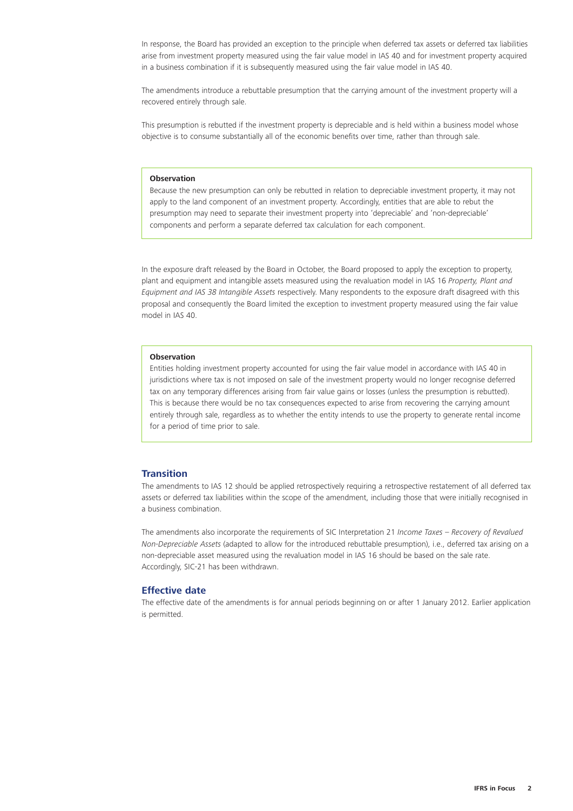In response, the Board has provided an exception to the principle when deferred tax assets or deferred tax liabilities arise from investment property measured using the fair value model in IAS 40 and for investment property acquired in a business combination if it is subsequently measured using the fair value model in IAS 40.

The amendments introduce a rebuttable presumption that the carrying amount of the investment property will a recovered entirely through sale.

This presumption is rebutted if the investment property is depreciable and is held within a business model whose objective is to consume substantially all of the economic benefits over time, rather than through sale.

#### **Observation**

Because the new presumption can only be rebutted in relation to depreciable investment property, it may not apply to the land component of an investment property. Accordingly, entities that are able to rebut the presumption may need to separate their investment property into 'depreciable' and 'non-depreciable' components and perform a separate deferred tax calculation for each component.

In the exposure draft released by the Board in October, the Board proposed to apply the exception to property, plant and equipment and intangible assets measured using the revaluation model in IAS 16 *Property, Plant and Equipment and IAS 38 Intangible Assets* respectively. Many respondents to the exposure draft disagreed with this proposal and consequently the Board limited the exception to investment property measured using the fair value model in IAS 40.

#### **Observation**

Entities holding investment property accounted for using the fair value model in accordance with IAS 40 in jurisdictions where tax is not imposed on sale of the investment property would no longer recognise deferred tax on any temporary differences arising from fair value gains or losses (unless the presumption is rebutted). This is because there would be no tax consequences expected to arise from recovering the carrying amount entirely through sale, regardless as to whether the entity intends to use the property to generate rental income for a period of time prior to sale.

#### **Transition**

The amendments to IAS 12 should be applied retrospectively requiring a retrospective restatement of all deferred tax assets or deferred tax liabilities within the scope of the amendment, including those that were initially recognised in a business combination.

The amendments also incorporate the requirements of SIC Interpretation 21 *Income Taxes – Recovery of Revalued Non-Depreciable Assets* (adapted to allow for the introduced rebuttable presumption), i.e., deferred tax arising on a non-depreciable asset measured using the revaluation model in IAS 16 should be based on the sale rate. Accordingly, SIC-21 has been withdrawn.

#### **Effective date**

The effective date of the amendments is for annual periods beginning on or after 1 January 2012. Earlier application is permitted.